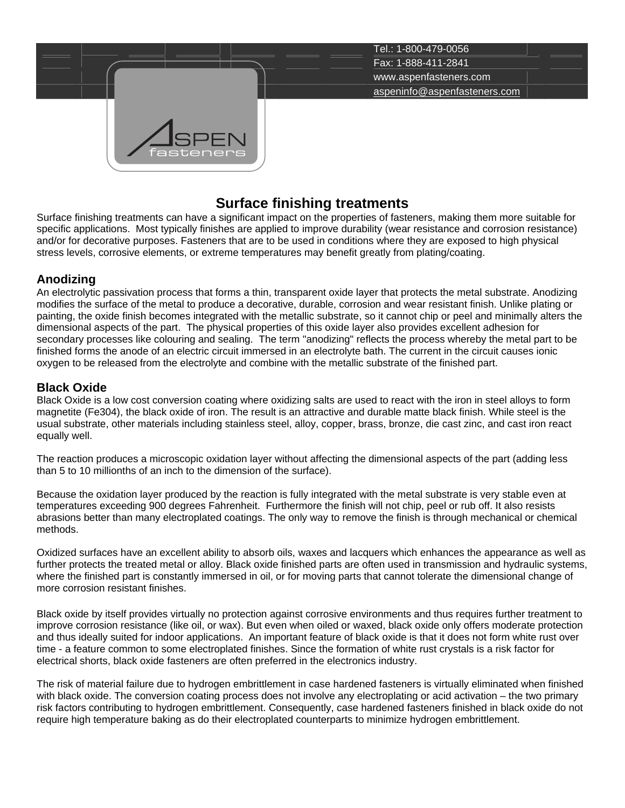

# **Surface finishing treatments**

Surface finishing treatments can have a significant impact on the properties of fasteners, making them more suitable for specific applications. Most typically finishes are applied to improve durability (wear resistance and corrosion resistance) and/or for decorative purposes. Fasteners that are to be used in conditions where they are exposed to high physical stress levels, corrosive elements, or extreme temperatures may benefit greatly from plating/coating.

## **Anodizing**

An electrolytic passivation process that forms a thin, transparent oxide layer that protects the metal substrate. Anodizing modifies the surface of the metal to produce a decorative, durable, corrosion and wear resistant finish. Unlike plating or painting, the oxide finish becomes integrated with the metallic substrate, so it cannot chip or peel and minimally alters the dimensional aspects of the part. The physical properties of this oxide layer also provides excellent adhesion for secondary processes like colouring and sealing. The term "anodizing" reflects the process whereby the metal part to be finished forms the anode of an electric circuit immersed in an electrolyte bath. The current in the circuit causes ionic oxygen to be released from the electrolyte and combine with the metallic substrate of the finished part.

**Black Oxide**<br>Black Oxide is a low cost conversion coating where oxidizing salts are used to react with the iron in steel alloys to form magnetite (Fe304), the black oxide of iron. The result is an attractive and durable matte black finish. While steel is the usual substrate, other materials including stainless steel, alloy, copper, brass, bronze, die cast zinc, and cast iron react equally well.

The reaction produces a microscopic oxidation layer without affecting the dimensional aspects of the part (adding less than 5 to 10 millionths of an inch to the dimension of the surface).

Because the oxidation layer produced by the reaction is fully integrated with the metal substrate is very stable even at temperatures exceeding 900 degrees Fahrenheit. Furthermore the finish will not chip, peel or rub off. It also resists abrasions better than many electroplated coatings. The only way to remove the finish is through mechanical or chemical methods.

Oxidized surfaces have an excellent ability to absorb oils, waxes and lacquers which enhances the appearance as well as further protects the treated metal or alloy. Black oxide finished parts are often used in transmission and hydraulic systems, where the finished part is constantly immersed in oil, or for moving parts that cannot tolerate the dimensional change of more corrosion resistant finishes.

Black oxide by itself provides virtually no protection against corrosive environments and thus requires further treatment to improve corrosion resistance (like oil, or wax). But even when oiled or waxed, black oxide only offers moderate protection and thus ideally suited for indoor applications. An important feature of black oxide is that it does not form white rust over time - a feature common to some electroplated finishes. Since the formation of white rust crystals is a risk factor for electrical shorts, black oxide fasteners are often preferred in the electronics industry.

The risk of material failure due to hydrogen embrittlement in case hardened fasteners is virtually eliminated when finished with black oxide. The conversion coating process does not involve any electroplating or acid activation – the two primary risk factors contributing to hydrogen embrittlement. Consequently, case hardened fasteners finished in black oxide do not require high temperature baking as do their electroplated counterparts to minimize hydrogen embrittlement.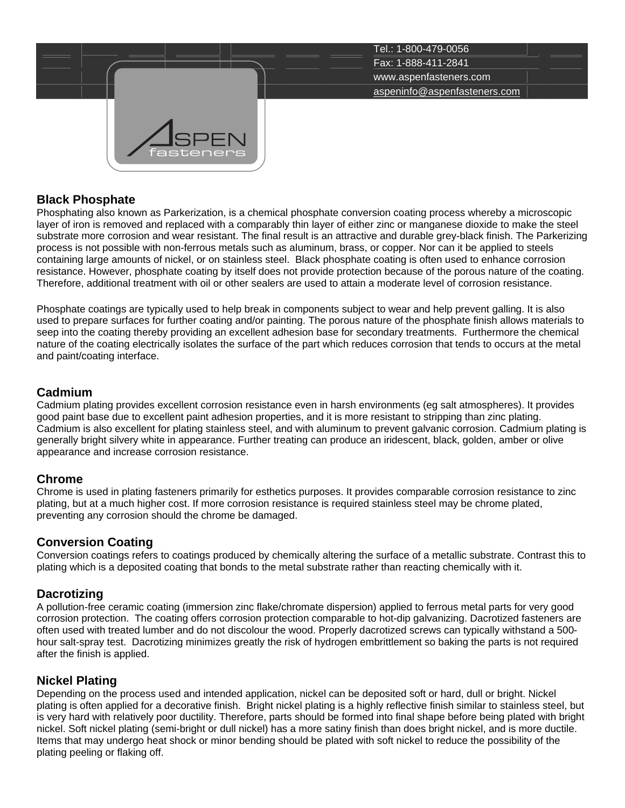

### **Black Phosphate**

Phosphating also known as Parkerization, is a chemical phosphate conversion coating process whereby a microscopic layer of iron is removed and replaced with a comparably thin layer of either zinc or manganese dioxide to make the steel substrate more corrosion and wear resistant. The final result is an attractive and durable grey-black finish. The Parkerizing process is not possible with non-ferrous metals such as aluminum, brass, or copper. Nor can it be applied to steels containing large amounts of nickel, or on stainless steel. Black phosphate coating is often used to enhance corrosion resistance. However, phosphate coating by itself does not provide protection because of the porous nature of the coating. Therefore, additional treatment with oil or other sealers are used to attain a moderate level of corrosion resistance.

Phosphate coatings are typically used to help break in components subject to wear and help prevent galling. It is also used to prepare surfaces for further coating and/or painting. The porous nature of the phosphate finish allows materials to seep into the coating thereby providing an excellent adhesion base for secondary treatments. Furthermore the chemical nature of the coating electrically isolates the surface of the part which reduces corrosion that tends to occurs at the metal and paint/coating interface.

### **Cadmium**

Cadmium plating provides excellent corrosion resistance even in harsh environments (eg salt atmospheres). It provides good paint base due to excellent paint adhesion properties, and it is more resistant to stripping than zinc plating. Cadmium is also excellent for plating stainless steel, and with aluminum to prevent galvanic corrosion. Cadmium plating is generally bright silvery white in appearance. Further treating can produce an iridescent, black, golden, amber or olive appearance and increase corrosion resistance.

## **Chrome**

Chrome is used in plating fasteners primarily for esthetics purposes. It provides comparable corrosion resistance to zinc plating, but at a much higher cost. If more corrosion resistance is required stainless steel may be chrome plated, preventing any corrosion should the chrome be damaged.

#### **Conversion Coating**

Conversion coatings refers to coatings produced by chemically altering the surface of a metallic substrate. Contrast this to plating which is a deposited coating that bonds to the metal substrate rather than reacting chemically with it.

## **Dacrotizing**

A pollution-free ceramic coating (immersion zinc flake/chromate dispersion) applied to ferrous metal parts for very good corrosion protection. The coating offers corrosion protection comparable to hot-dip galvanizing. Dacrotized fasteners are often used with treated lumber and do not discolour the wood. Properly dacrotized screws can typically withstand a 500 hour salt-spray test. Dacrotizing minimizes greatly the risk of hydrogen embrittlement so baking the parts is not required after the finish is applied.

**Nickel Plating**<br>Depending on the process used and intended application, nickel can be deposited soft or hard, dull or bright. Nickel plating is often applied for a decorative finish. Bright nickel plating is a highly reflective finish similar to stainless steel, but is very hard with relatively poor ductility. Therefore, parts should be formed into final shape before being plated with bright nickel. Soft nickel plating (semi-bright or dull nickel) has a more satiny finish than does bright nickel, and is more ductile. Items that may undergo heat shock or minor bending should be plated with soft nickel to reduce the possibility of the plating peeling or flaking off.